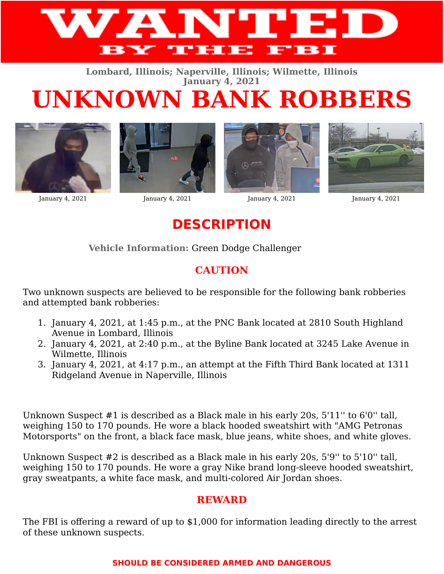

**Lombard, Illinois; Naperville, Illinois; Wilmette, Illinois January 4, 2021**

## **UNKNOWN BANK ROBBERS**





January 4, 2021 January 4, 2021 January 4, 2021 January 4, 2021





**DESCRIPTION**

**Vehicle Information:** Green Dodge Challenger

## **CAUTION**

Two unknown suspects are believed to be responsible for the following bank robberies and attempted bank robberies:

- 1. January 4, 2021, at 1:45 p.m., at the PNC Bank located at 2810 South Highland Avenue in Lombard, Illinois
- 2. January 4, 2021, at 2:40 p.m., at the Byline Bank located at 3245 Lake Avenue in Wilmette, Illinois
- 3. January 4, 2021, at 4:17 p.m., an attempt at the Fifth Third Bank located at 1311 Ridgeland Avenue in Naperville, Illinois

Unknown Suspect #1 is described as a Black male in his early 20s, 5'11'' to 6'0'' tall, weighing 150 to 170 pounds. He wore a black hooded sweatshirt with "AMG Petronas Motorsports" on the front, a black face mask, blue jeans, white shoes, and white gloves.

Unknown Suspect #2 is described as a Black male in his early 20s, 5'9'' to 5'10'' tall, weighing 150 to 170 pounds. He wore a gray Nike brand long-sleeve hooded sweatshirt, gray sweatpants, a white face mask, and multi-colored Air Jordan shoes.

## **REWARD**

The FBI is offering a reward of up to \$1,000 for information leading directly to the arrest of these unknown suspects.

## **SHOULD BE CONSIDERED ARMED AND DANGEROUS**